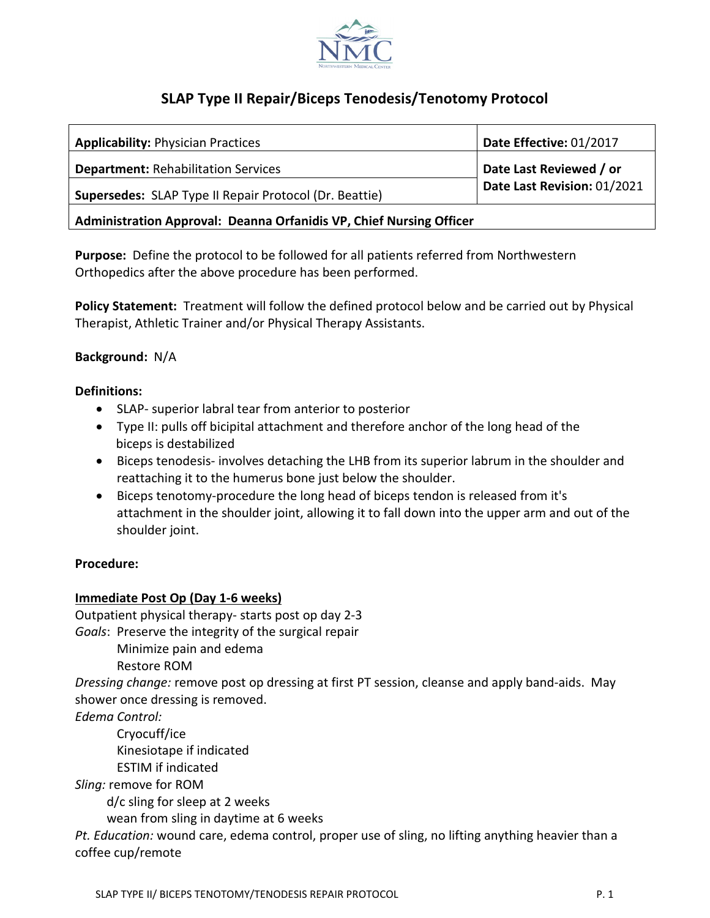

# **SLAP Type II Repair/Biceps Tenodesis/Tenotomy Protocol**

| <b>Applicability: Physician Practices</b>                           | Date Effective: 01/2017     |
|---------------------------------------------------------------------|-----------------------------|
| <b>Department: Rehabilitation Services</b>                          | Date Last Reviewed / or     |
| <b>Supersedes:</b> SLAP Type II Repair Protocol (Dr. Beattie)       | Date Last Revision: 01/2021 |
| Administration Approval: Deanna Orfanidis VP, Chief Nursing Officer |                             |

**Purpose:** Define the protocol to be followed for all patients referred from Northwestern Orthopedics after the above procedure has been performed.

**Policy Statement:** Treatment will follow the defined protocol below and be carried out by Physical Therapist, Athletic Trainer and/or Physical Therapy Assistants.

# **Background:** N/A

### **Definitions:**

- SLAP- superior labral tear from anterior to posterior
- Type II: pulls off bicipital attachment and therefore anchor of the long head of the biceps is destabilized
- Biceps tenodesis- involves detaching the LHB from its [superior](https://www.shoulderdoc.co.uk/article/724) [labrum](https://www.shoulderdoc.co.uk/article/724) in the shoulder and reattaching it to the [humerus](https://www.shoulderdoc.co.uk/article/724) bone just below the shoulder.
- Biceps tenotomy-procedure the long head of biceps [tendon](https://www.shoulderdoc.co.uk/article/723) is released from it's attachment in the shoulder joint, allowing it to fall down into the upper arm and out of the shoulder joint.

### **Procedure:**

### **Immediate Post Op (Day 1-6 weeks)**

Outpatient physical therapy- starts post op day 2-3

*Goals*: Preserve the integrity of the surgical repair

Minimize pain and edema

Restore ROM

*Dressing change:* remove post op dressing at first PT session, cleanse and apply band-aids. May shower once dressing is removed.

*Edema Control:*

Cryocuff/ice

Kinesiotape if indicated

ESTIM if indicated

*Sling:* remove for ROM

d/c sling for sleep at 2 weeks

wean from sling in daytime at 6 weeks

*Pt. Education:* wound care, edema control, proper use of sling, no lifting anything heavier than a coffee cup/remote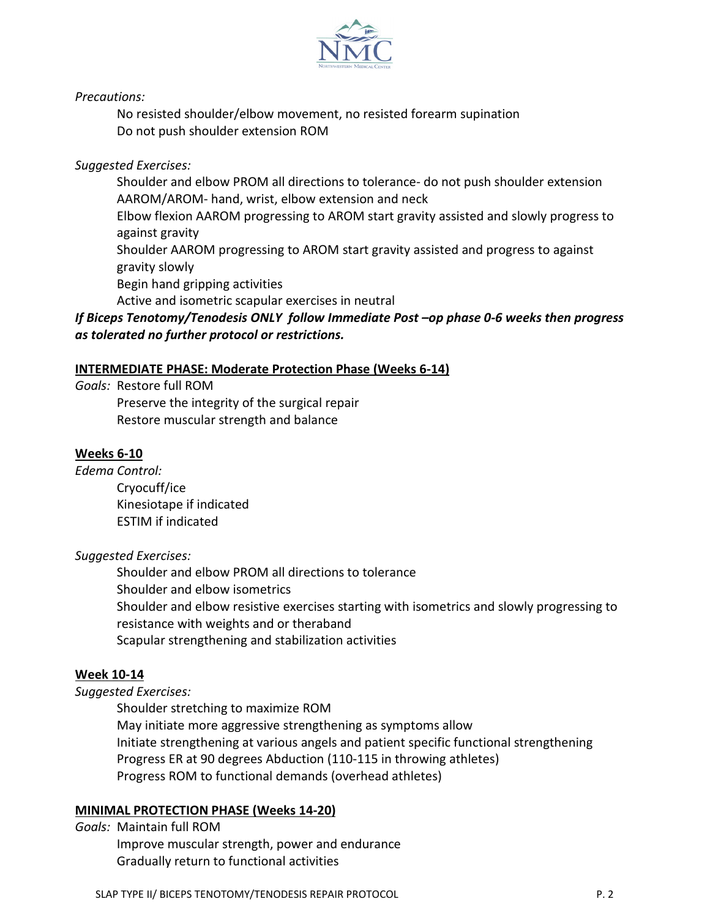

*Precautions:*

No resisted shoulder/elbow movement, no resisted forearm supination Do not push shoulder extension ROM

# *Suggested Exercises:*

Shoulder and elbow PROM all directions to tolerance- do not push shoulder extension AAROM/AROM- hand, wrist, elbow extension and neck

Elbow flexion AAROM progressing to AROM start gravity assisted and slowly progress to against gravity

Shoulder AAROM progressing to AROM start gravity assisted and progress to against gravity slowly

Begin hand gripping activities

Active and isometric scapular exercises in neutral

# *If Biceps Tenotomy/Tenodesis ONLY follow Immediate Post –op phase 0-6 weeks then progress as tolerated no further protocol or restrictions.*

### **INTERMEDIATE PHASE: Moderate Protection Phase (Weeks 6-14)**

*Goals:* Restore full ROM Preserve the integrity of the surgical repair Restore muscular strength and balance

#### **Weeks 6-10**

*Edema Control:*

Cryocuff/ice Kinesiotape if indicated ESTIM if indicated

#### *Suggested Exercises:*

Shoulder and elbow PROM all directions to tolerance Shoulder and elbow isometrics Shoulder and elbow resistive exercises starting with isometrics and slowly progressing to resistance with weights and or theraband Scapular strengthening and stabilization activities

### **Week 10-14**

#### *Suggested Exercises:*

Shoulder stretching to maximize ROM May initiate more aggressive strengthening as symptoms allow Initiate strengthening at various angels and patient specific functional strengthening Progress ER at 90 degrees Abduction (110-115 in throwing athletes) Progress ROM to functional demands (overhead athletes)

### **MINIMAL PROTECTION PHASE (Weeks 14-20)**

*Goals:* Maintain full ROM Improve muscular strength, power and endurance Gradually return to functional activities